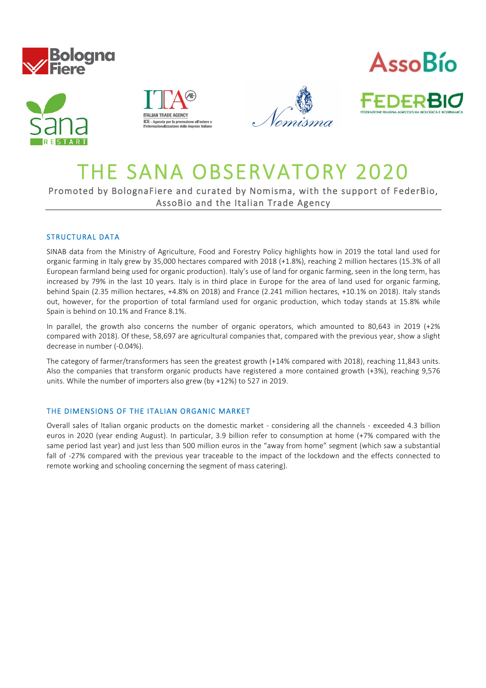









# THE SANA OBSERVATORY 2020<br>Promoted by BolognaFiere and curated by Nomisma, with the support of FederBio,

AssoBio and the Italian Trade Agency

## STRUCTURAL DATA

SINAB data from the Ministry of Agriculture, Food and Forestry Policy highlights how in 2019 the total land used for organic farming in Italy grew by 35,000 hectares compared with 2018 (+1.8%), reaching 2 million hectares (15.3% of all European farmland being used for organic production). Italy's use of land for organic farming, seen in the long term, has increased by 79% in the last 10 years. Italy is in third place in Europe for the area of land used for organic farming, behind Spain (2.35 million hectares, +4.8% on 2018) and France (2.241 million hectares, +10.1% on 2018). Italy stands out, however, for the proportion of total farmland used for organic production, which today stands at 15.8% while Spain is behind on 10.1% and France 8.1%.

In parallel, the growth also concerns the number of organic operators, which amounted to 80,643 in 2019 (+2% compared with 2018). Of these, 58,697 are agricultural companies that, compared with the previous year, show a slight decrease in number (-0.04%).

The category of farmer/transformers has seen the greatest growth (+14% compared with 2018), reaching 11,843 units. Also the companies that transform organic products have registered a more contained growth (+3%), reaching 9,576 units. While the number of importers also grew (by +12%) to 527 in 2019.

### THE DIMENSIONS OF THE ITALIAN ORGANIC MARKET

Overall sales of Italian organic products on the domestic market - considering all the channels - exceeded 4.3 billion euros in 2020 (year ending August). In particular, 3.9 billion refer to consumption at home (+7% compared with the same period last year) and just less than 500 million euros in the "away from home" segment (which saw a substantial fall of -27% compared with the previous year traceable to the impact of the lockdown and the effects connected to remote working and schooling concerning the segment of mass catering).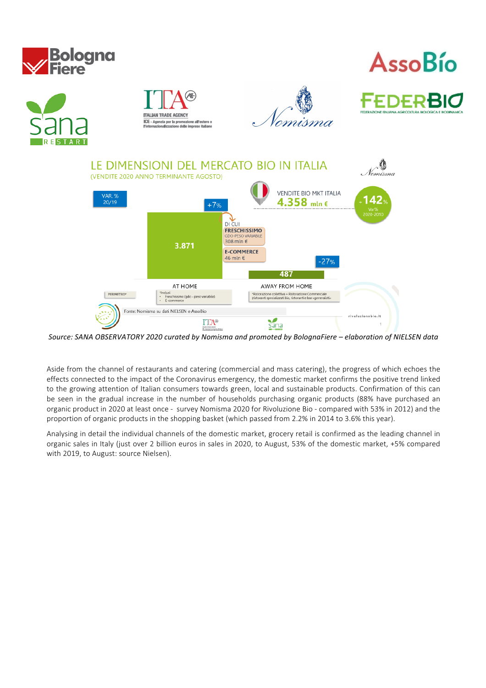

Aside from the channel of restaurants and catering (commercial and mass catering), the progress of which echoes the effects connected to the impact of the Coronavirus emergency, the domestic market confirms the positive trend linked to the growing attention of Italian consumers towards green, local and sustainable products. Confirmation of this can be seen in the gradual increase in the number of households purchasing organic products (88% have purchased an organic product in 2020 at least once - survey Nomisma 2020 for Rivoluzione Bio - compared with 53% in 2012) and the proportion of organic products in the shopping basket (which passed from 2.2% in 2014 to 3.6% this year).

Analysing in detail the individual channels of the domestic market, grocery retail is confirmed as the leading channel in organic sales in Italy (just over 2 billion euros in sales in 2020, to August, 53% of the domestic market, +5% compared with 2019, to August: source Nielsen).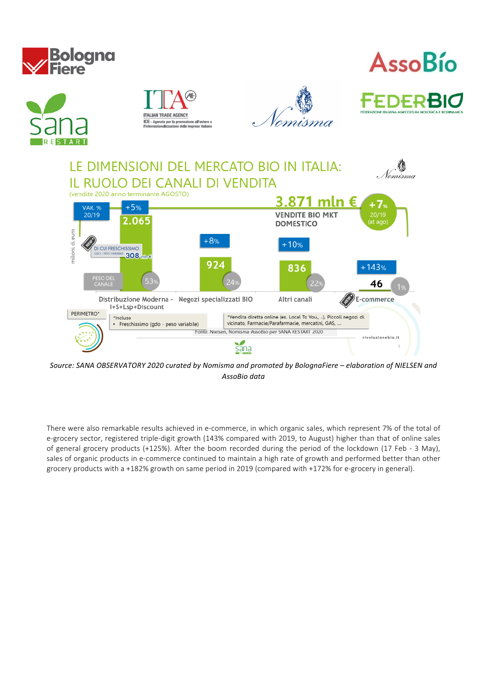











*Source: SANA OBSERVATORY 2020 curated by Nomisma and promoted by BolognaFiere – elaboration of NIELSEN and AssoBio data*

There were also remarkable results achieved in e-commerce, in which organic sales, which represent 7% of the total of e-grocery sector, registered triple-digit growth (143% compared with 2019, to August) higher than that of online sales of general grocery products (+125%). After the boom recorded during the period of the lockdown (17 Feb - 3 May), sales of organic products in e-commerce continued to maintain a high rate of growth and performed better than other grocery products with a +182% growth on same period in 2019 (compared with +172% for e-grocery in general).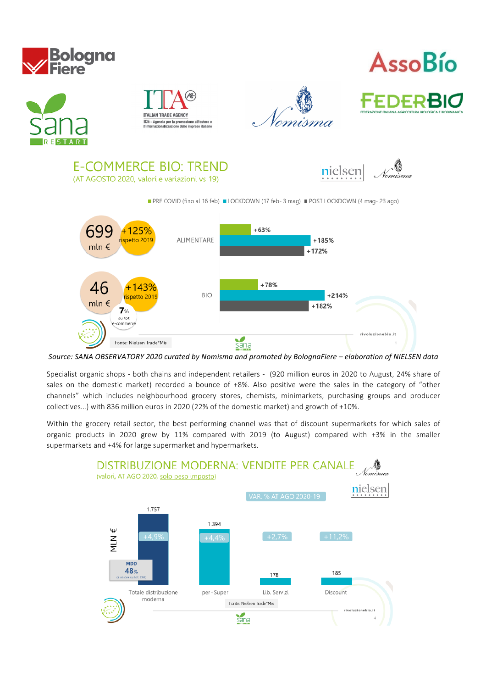

*Source: SANA OBSERVATORY 2020 curated by Nomisma and promoted by BolognaFiere – elaboration of NIELSEN data*

Specialist organic shops - both chains and independent retailers - (920 million euros in 2020 to August, 24% share of sales on the domestic market) recorded a bounce of +8%. Also positive were the sales in the category of "other channels" which includes neighbourhood grocery stores, chemists, minimarkets, purchasing groups and producer collectives…) with 836 million euros in 2020 (22% of the domestic market) and growth of +10%.

Within the grocery retail sector, the best performing channel was that of discount supermarkets for which sales of organic products in 2020 grew by 11% compared with 2019 (to August) compared with +3% in the smaller supermarkets and +4% for large supermarket and hypermarkets.